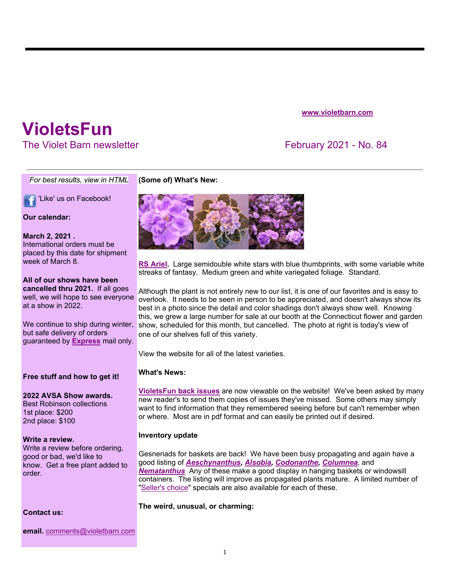### **www.violetbarn.com**

# **VioletsFun**

The Violet Barn newsletter **February 2021 - No. 84** 

*For best results, view in HTML*

'Like' us on Facebook!

#### **Our calendar:**

#### **March 2, 2021 .**

International orders must be placed by this date for shipment week of March 8.

# **All of our shows have been**

**cancelled thru 2021.** If all goes well, we will hope to see everyone at a show in 2022.

We continue to ship during winter, but safe delivery of orders guaranteed by **Express** mail only.

#### **Free stuff and how to get it!**

# **2022 AVSA Show awards.**

Best Robinson collections 1st place: \$200 2nd place: \$100

#### **Write a review.**

Write a review before ordering, good or bad, we'd like to know. Get a free plant added to order.

**Contact us:**

**email.** comments@violetbarn.com



**(Some of) What's New:**

**RS Ariel.** Large semidouble white stars with blue thumbprints, with some variable white streaks of fantasy. Medium green and white variegated foliage. Standard.

Although the plant is not entirely new to our list, it is one of our favorites and is easy to overlook. It needs to be seen in person to be appreciated, and doesn't always show its best in a photo since the detail and color shadings don't always show well. Knowing this, we grew a large number for sale at our booth at the Connecticut flower and garden show, scheduled for this month, but cancelled. The photo at right is today's view of one of our shelves full of this variety.

View the website for all of the latest varieties.

### **What's News:**

**VioletsFun back issues** are now viewable on the website! We've been asked by many new reader's to send them copies of issues they've missed. Some others may simply want to find information that they remembered seeing before but can't remember when or where. Most are in pdf format and can easily be printed out if desired.

## **Inventory update**

Gesneriads for baskets are back! We have been busy propagating and again have a good listing of *Aeschynanthus, Alsobia, Codonanthe, Columnea,* and *Nematanthus* Any of these make a good display in hanging baskets or windowsill containers. The listing will improve as propagated plants mature. A limited number of "Seller's choice" specials are also available for each of these.

#### **The weird, unusual, or charming:**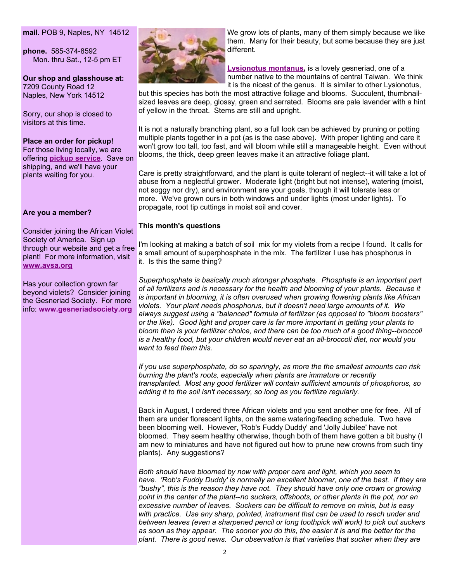#### **mail.** POB 9, Naples, NY 14512

**phone.** 585-374-8592 Mon. thru Sat., 12-5 pm ET

**Our shop and glasshouse at:**  7209 County Road 12 Naples, New York 14512

Sorry, our shop is closed to visitors at this time.

#### **Place an order for pickup!**

For those living locally, we are offering **pickup service**. Save on shipping, and we'll have your plants waiting for you.

#### **Are you a member?**

Consider joining the African Violet Society of America. Sign up through our website and get a free plant! For more information, visit **www.avsa.org**

Has your collection grown far beyond violets? Consider joining the Gesneriad Society. For more info: **www.gesneriadsociety.org**



We grow lots of plants, many of them simply because we like them. Many for their beauty, but some because they are just different.

**Lysionotus montanus,** is a lovely gesneriad, one of a number native to the mountains of central Taiwan. We think it is the nicest of the genus. It is similar to other Lysionotus,

but this species has both the most attractive foliage and blooms. Succulent, thumbnailsized leaves are deep, glossy, green and serrated. Blooms are pale lavender with a hint of yellow in the throat. Stems are still and upright.

It is not a naturally branching plant, so a full look can be achieved by pruning or potting multiple plants together in a pot (as is the case above). With proper lighting and care it won't grow too tall, too fast, and will bloom while still a manageable height. Even without blooms, the thick, deep green leaves make it an attractive foliage plant.

Care is pretty straightforward, and the plant is quite tolerant of neglect--it will take a lot of abuse from a neglectful grower. Moderate light (bright but not intense), watering (moist, not soggy nor dry), and environment are your goals, though it will tolerate less or more. We've grown ours in both windows and under lights (most under lights). To propagate, root tip cuttings in moist soil and cover.

#### **This month's questions**

I'm looking at making a batch of soil mix for my violets from a recipe I found. It calls for a small amount of superphosphate in the mix. The fertilizer I use has phosphorus in it. Is this the same thing?

*Superphosphate is basically much stronger phosphate. Phosphate is an important part of all fertilizers and is necessary for the health and blooming of your plants. Because it is important in blooming, it is often overused when growing flowering plants like African violets. Your plant needs phosphorus, but it doesn't need large amounts of it. We always suggest using a "balanced" formula of fertilizer (as opposed to "bloom boosters" or the like). Good light and proper care is far more important in getting your plants to bloom than is your fertilizer choice, and there can be too much of a good thing--broccoli is a healthy food, but your children would never eat an all-broccoli diet, nor would you want to feed them this.*

*If you use superphosphate, do so sparingly, as more the the smallest amounts can risk burning the plant's roots, especially when plants are immature or recently transplanted. Most any good fertilizer will contain sufficient amounts of phosphorus, so adding it to the soil isn't necessary, so long as you fertilize regularly.*

Back in August, I ordered three African violets and you sent another one for free. All of them are under florescent lights, on the same watering/feeding schedule. Two have been blooming well. However, 'Rob's Fuddy Duddy' and 'Jolly Jubilee' have not bloomed. They seem healthy otherwise, though both of them have gotten a bit bushy (I am new to miniatures and have not figured out how to prune new crowns from such tiny plants). Any suggestions?

*Both should have bloomed by now with proper care and light, which you seem to have. 'Rob's Fuddy Duddy' is normally an excellent bloomer, one of the best. If they are "bushy", this is the reason they have not. They should have only one crown or growing point in the center of the plant--no suckers, offshoots, or other plants in the pot, nor an excessive number of leaves. Suckers can be difficult to remove on minis, but is easy*  with practice. Use any sharp, pointed, instrument that can be used to reach under and *between leaves (even a sharpened pencil or long toothpick will work) to pick out suckers as soon as they appear. The sooner you do this, the easier it is and the better for the plant. There is good news. Our observation is that varieties that sucker when they are*